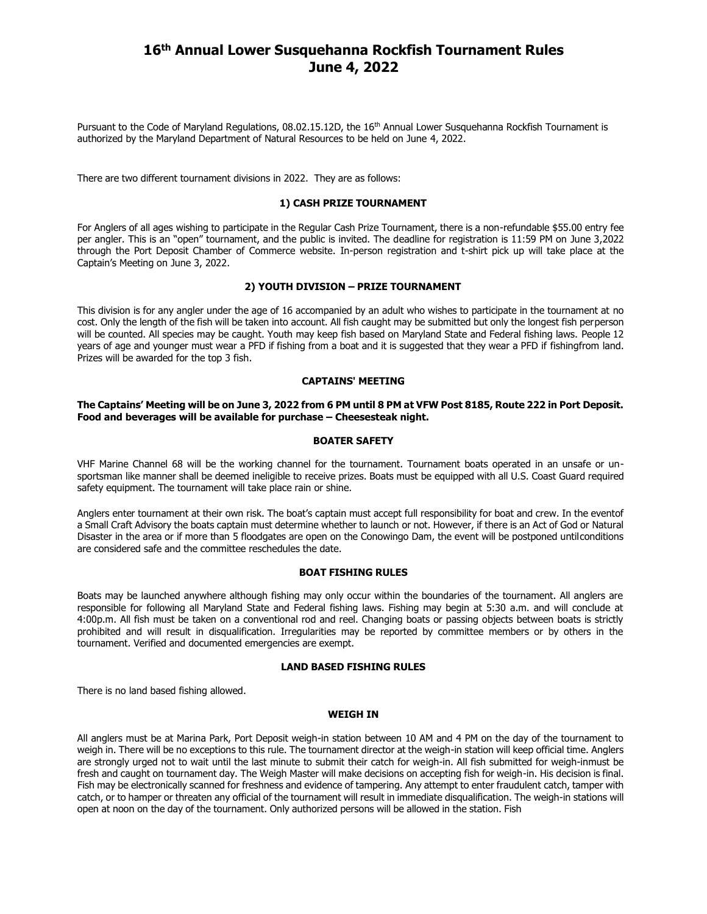# **16th Annual Lower Susquehanna Rockfish Tournament Rules June 4, 2022**

Pursuant to the Code of Maryland Regulations, 08.02.15.12D, the 16<sup>th</sup> Annual Lower Susquehanna Rockfish Tournament is authorized by the Maryland Department of Natural Resources to be held on June 4, 2022.

There are two different tournament divisions in 2022. They are as follows:

#### **1) CASH PRIZE TOURNAMENT**

For Anglers of all ages wishing to participate in the Regular Cash Prize Tournament, there is a non-refundable \$55.00 entry fee per angler. This is an "open" tournament, and the public is invited. The deadline for registration is 11:59 PM on June 3,2022 through the Port Deposit Chamber of Commerce website. In-person registration and t-shirt pick up will take place at the Captain's Meeting on June 3, 2022.

#### **2) YOUTH DIVISION – PRIZE TOURNAMENT**

This division is for any angler under the age of 16 accompanied by an adult who wishes to participate in the tournament at no cost. Only the length of the fish will be taken into account. All fish caught may be submitted but only the longest fish perperson will be counted. All species may be caught. Youth may keep fish based on Maryland State and Federal fishing laws. People 12 years of age and younger must wear a PFD if fishing from a boat and it is suggested that they wear a PFD if fishingfrom land. Prizes will be awarded for the top 3 fish.

## **CAPTAINS' MEETING**

#### **The Captains' Meeting will be on June 3, 2022 from 6 PM until 8 PM at VFW Post 8185, Route 222 in Port Deposit. Food and beverages will be available for purchase – Cheesesteak night.**

#### **BOATER SAFETY**

VHF Marine Channel 68 will be the working channel for the tournament. Tournament boats operated in an unsafe or unsportsman like manner shall be deemed ineligible to receive prizes. Boats must be equipped with all U.S. Coast Guard required safety equipment. The tournament will take place rain or shine.

Anglers enter tournament at their own risk. The boat's captain must accept full responsibility for boat and crew. In the eventof a Small Craft Advisory the boats captain must determine whether to launch or not. However, if there is an Act of God or Natural Disaster in the area or if more than 5 floodgates are open on the Conowingo Dam, the event will be postponed untilconditions are considered safe and the committee reschedules the date.

# **BOAT FISHING RULES**

Boats may be launched anywhere although fishing may only occur within the boundaries of the tournament. All anglers are responsible for following all Maryland State and Federal fishing laws. Fishing may begin at 5:30 a.m. and will conclude at 4:00p.m. All fish must be taken on a conventional rod and reel. Changing boats or passing objects between boats is strictly prohibited and will result in disqualification. Irregularities may be reported by committee members or by others in the tournament. Verified and documented emergencies are exempt.

#### **LAND BASED FISHING RULES**

There is no land based fishing allowed.

#### **WEIGH IN**

All anglers must be at Marina Park, Port Deposit weigh-in station between 10 AM and 4 PM on the day of the tournament to weigh in. There will be no exceptions to this rule. The tournament director at the weigh-in station will keep official time. Anglers are strongly urged not to wait until the last minute to submit their catch for weigh-in. All fish submitted for weigh-inmust be fresh and caught on tournament day. The Weigh Master will make decisions on accepting fish for weigh-in. His decision is final. Fish may be electronically scanned for freshness and evidence of tampering. Any attempt to enter fraudulent catch, tamper with catch, or to hamper or threaten any official of the tournament will result in immediate disqualification. The weigh-in stations will open at noon on the day of the tournament. Only authorized persons will be allowed in the station. Fish